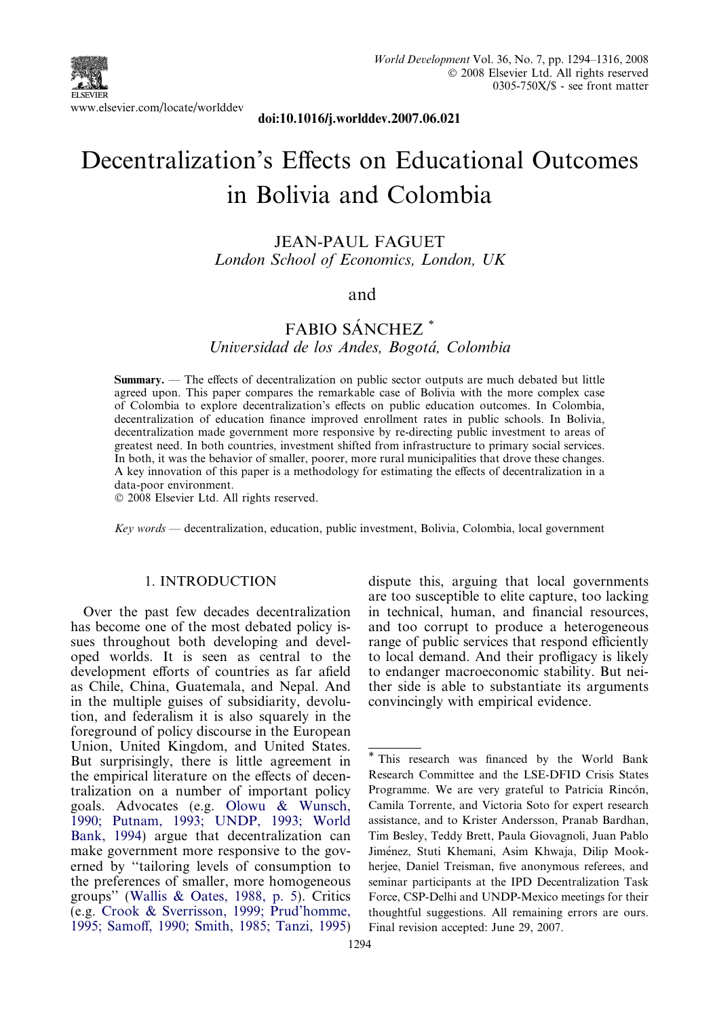

doi:10.1016/j.worlddev.2007.06.021

# Decentralization's Effects on Educational Outcomes in Bolivia and Colombia

JEAN-PAUL FAGUET London School of Economics, London, UK

### and

### FABIO SÁNCHEZ<sup>\*</sup>

Universidad de los Andes, Bogotá, Colombia

Summary. — The effects of decentralization on public sector outputs are much debated but little agreed upon. This paper compares the remarkable case of Bolivia with the more complex case of Colombia to explore decentralization's effects on public education outcomes. In Colombia, decentralization of education finance improved enrollment rates in public schools. In Bolivia, decentralization made government more responsive by re-directing public investment to areas of greatest need. In both countries, investment shifted from infrastructure to primary social services. In both, it was the behavior of smaller, poorer, more rural municipalities that drove these changes. A key innovation of this paper is a methodology for estimating the effects of decentralization in a data-poor environment.

- 2008 Elsevier Ltd. All rights reserved.

Key words — decentralization, education, public investment, Bolivia, Colombia, local government

#### 1. INTRODUCTION

Over the past few decades decentralization has become one of the most debated policy issues throughout both developing and developed worlds. It is seen as central to the development efforts of countries as far afield as Chile, China, Guatemala, and Nepal. And in the multiple guises of subsidiarity, devolution, and federalism it is also squarely in the foreground of policy discourse in the European Union, United Kingdom, and United States. But surprisingly, there is little agreement in the empirical literature on the effects of decentralization on a number of important policy goals. Advocates (e.g. [Olowu & Wunsch,](#page--1-0) [1990; Putnam, 1993; UNDP, 1993; World](#page--1-0) [Bank, 1994\)](#page--1-0) argue that decentralization can make government more responsive to the governed by ''tailoring levels of consumption to the preferences of smaller, more homogeneous groups'' ([Wallis & Oates, 1988, p. 5\)](#page--1-0). Critics (e.g. [Crook & Sverrisson, 1999; Prud'homme,](#page--1-0) [1995; Samoff, 1990; Smith, 1985; Tanzi, 1995](#page--1-0))

dispute this, arguing that local governments are too susceptible to elite capture, too lacking in technical, human, and financial resources, and too corrupt to produce a heterogeneous range of public services that respond efficiently to local demand. And their profligacy is likely to endanger macroeconomic stability. But neither side is able to substantiate its arguments convincingly with empirical evidence.

<sup>\*</sup> This research was financed by the World Bank Research Committee and the LSE-DFID Crisis States Programme. We are very grateful to Patricia Rincón, Camila Torrente, and Victoria Soto for expert research assistance, and to Krister Andersson, Pranab Bardhan, Tim Besley, Teddy Brett, Paula Giovagnoli, Juan Pablo Jiménez, Stuti Khemani, Asim Khwaja, Dilip Mookherjee, Daniel Treisman, five anonymous referees, and seminar participants at the IPD Decentralization Task Force, CSP-Delhi and UNDP-Mexico meetings for their thoughtful suggestions. All remaining errors are ours. Final revision accepted: June 29, 2007.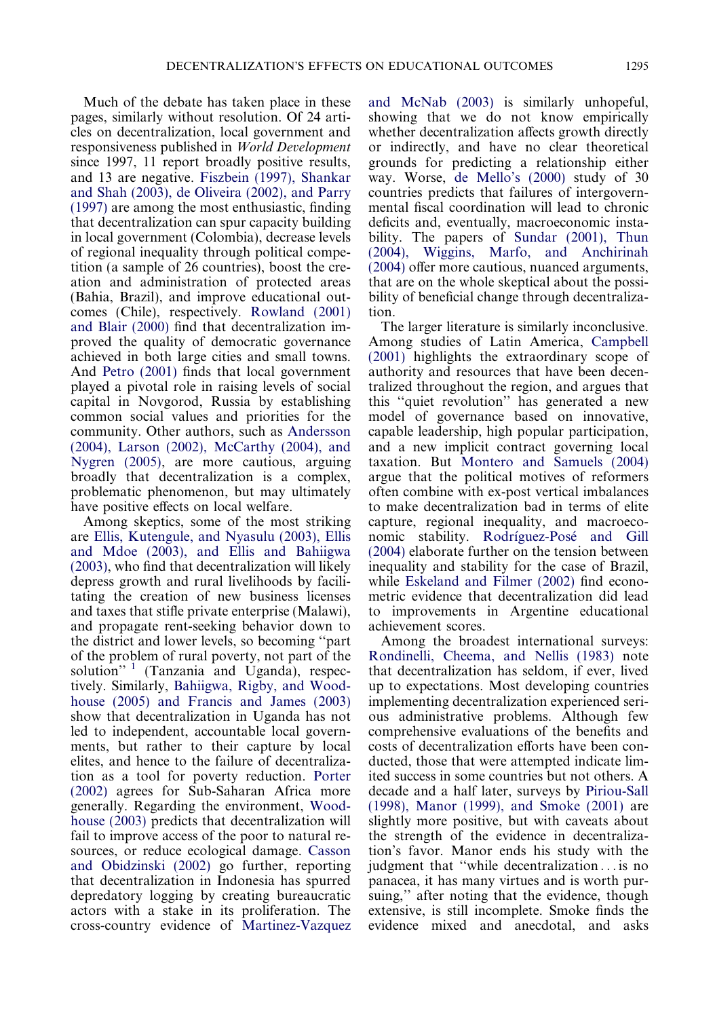Much of the debate has taken place in these pages, similarly without resolution. Of 24 articles on decentralization, local government and responsiveness published in World Development since 1997, 11 report broadly positive results, and 13 are negative. [Fiszbein \(1997\), Shankar](#page--1-0) [and Shah \(2003\), de Oliveira \(2002\), and Parry](#page--1-0) [\(1997\)](#page--1-0) are among the most enthusiastic, finding that decentralization can spur capacity building in local government (Colombia), decrease levels of regional inequality through political competition (a sample of 26 countries), boost the creation and administration of protected areas (Bahia, Brazil), and improve educational outcomes (Chile), respectively. [Rowland \(2001\)](#page--1-0) [and Blair \(2000\)](#page--1-0) find that decentralization improved the quality of democratic governance achieved in both large cities and small towns. And [Petro \(2001\)](#page--1-0) finds that local government played a pivotal role in raising levels of social capital in Novgorod, Russia by establishing common social values and priorities for the community. Other authors, such as [Andersson](#page--1-0) [\(2004\), Larson \(2002\), McCarthy \(2004\), and](#page--1-0) [Nygren \(2005\)](#page--1-0), are more cautious, arguing broadly that decentralization is a complex, problematic phenomenon, but may ultimately have positive effects on local welfare.

Among skeptics, some of the most striking are [Ellis, Kutengule, and Nyasulu \(2003\), Ellis](#page--1-0) [and Mdoe \(2003\), and Ellis and Bahiigwa](#page--1-0) [\(2003\)](#page--1-0), who find that decentralization will likely depress growth and rural livelihoods by facilitating the creation of new business licenses and taxes that stifle private enterprise (Malawi), and propagate rent-seeking behavior down to the district and lower levels, so becoming ''part of the problem of rural poverty, not part of the solution"  $\left($ Tanzania and Uganda), respectively. Similarly, [Bahiigwa, Rigby, and Wood](#page--1-0)[house \(2005\) and Francis and James \(2003\)](#page--1-0) show that decentralization in Uganda has not led to independent, accountable local governments, but rather to their capture by local elites, and hence to the failure of decentralization as a tool for poverty reduction. [Porter](#page--1-0) [\(2002\)](#page--1-0) agrees for Sub-Saharan Africa more generally. Regarding the environment, [Wood](#page--1-0)[house \(2003\)](#page--1-0) predicts that decentralization will fail to improve access of the poor to natural resources, or reduce ecological damage. [Casson](#page--1-0) [and Obidzinski \(2002\)](#page--1-0) go further, reporting that decentralization in Indonesia has spurred depredatory logging by creating bureaucratic actors with a stake in its proliferation. The cross-country evidence of [Martinez-Vazquez](#page--1-0)

[and McNab \(2003\)](#page--1-0) is similarly unhopeful, showing that we do not know empirically whether decentralization affects growth directly or indirectly, and have no clear theoretical grounds for predicting a relationship either way. Worse, [de Mello's \(2000\)](#page--1-0) study of 30 countries predicts that failures of intergovernmental fiscal coordination will lead to chronic deficits and, eventually, macroeconomic instability. The papers of [Sundar \(2001\), Thun](#page--1-0) [\(2004\), Wiggins, Marfo, and Anchirinah](#page--1-0) [\(2004\)](#page--1-0) offer more cautious, nuanced arguments, that are on the whole skeptical about the possibility of beneficial change through decentralization.

The larger literature is similarly inconclusive. Among studies of Latin America, [Campbell](#page--1-0) [\(2001\)](#page--1-0) highlights the extraordinary scope of authority and resources that have been decentralized throughout the region, and argues that this ''quiet revolution'' has generated a new model of governance based on innovative, capable leadership, high popular participation, and a new implicit contract governing local taxation. But [Montero and Samuels \(2004\)](#page--1-0) argue that the political motives of reformers often combine with ex-post vertical imbalances to make decentralization bad in terms of elite capture, regional inequality, and macroeconomic stability. Rodríguez-Posé and Gill [\(2004\)](#page--1-0) elaborate further on the tension between inequality and stability for the case of Brazil, while [Eskeland and Filmer \(2002\)](#page--1-0) find econometric evidence that decentralization did lead to improvements in Argentine educational achievement scores.

Among the broadest international surveys: [Rondinelli, Cheema, and Nellis \(1983\)](#page--1-0) note that decentralization has seldom, if ever, lived up to expectations. Most developing countries implementing decentralization experienced serious administrative problems. Although few comprehensive evaluations of the benefits and costs of decentralization efforts have been conducted, those that were attempted indicate limited success in some countries but not others. A decade and a half later, surveys by [Piriou-Sall](#page--1-0) [\(1998\), Manor \(1999\), and Smoke \(2001\)](#page--1-0) are slightly more positive, but with caveats about the strength of the evidence in decentralization's favor. Manor ends his study with the judgment that ''while decentralization ... is no panacea, it has many virtues and is worth pursuing," after noting that the evidence, though extensive, is still incomplete. Smoke finds the evidence mixed and anecdotal, and asks